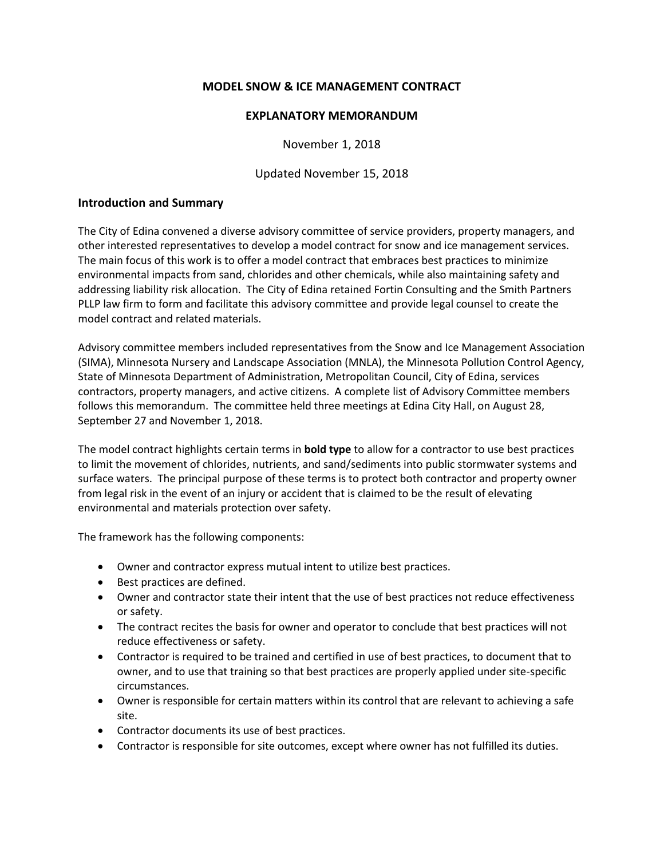# **MODEL SNOW & ICE MANAGEMENT CONTRACT**

#### **EXPLANATORY MEMORANDUM**

November 1, 2018

Updated November 15, 2018

### **Introduction and Summary**

The City of Edina convened a diverse advisory committee of service providers, property managers, and other interested representatives to develop a model contract for snow and ice management services. The main focus of this work is to offer a model contract that embraces best practices to minimize environmental impacts from sand, chlorides and other chemicals, while also maintaining safety and addressing liability risk allocation. The City of Edina retained Fortin Consulting and the Smith Partners PLLP law firm to form and facilitate this advisory committee and provide legal counsel to create the model contract and related materials.

Advisory committee members included representatives from the Snow and Ice Management Association (SIMA), Minnesota Nursery and Landscape Association (MNLA), the Minnesota Pollution Control Agency, State of Minnesota Department of Administration, Metropolitan Council, City of Edina, services contractors, property managers, and active citizens. A complete list of Advisory Committee members follows this memorandum. The committee held three meetings at Edina City Hall, on August 28, September 27 and November 1, 2018.

The model contract highlights certain terms in **bold type** to allow for a contractor to use best practices to limit the movement of chlorides, nutrients, and sand/sediments into public stormwater systems and surface waters. The principal purpose of these terms is to protect both contractor and property owner from legal risk in the event of an injury or accident that is claimed to be the result of elevating environmental and materials protection over safety.

The framework has the following components:

- Owner and contractor express mutual intent to utilize best practices.
- Best practices are defined.
- Owner and contractor state their intent that the use of best practices not reduce effectiveness or safety.
- The contract recites the basis for owner and operator to conclude that best practices will not reduce effectiveness or safety.
- Contractor is required to be trained and certified in use of best practices, to document that to owner, and to use that training so that best practices are properly applied under site-specific circumstances.
- Owner is responsible for certain matters within its control that are relevant to achieving a safe site.
- Contractor documents its use of best practices.
- Contractor is responsible for site outcomes, except where owner has not fulfilled its duties.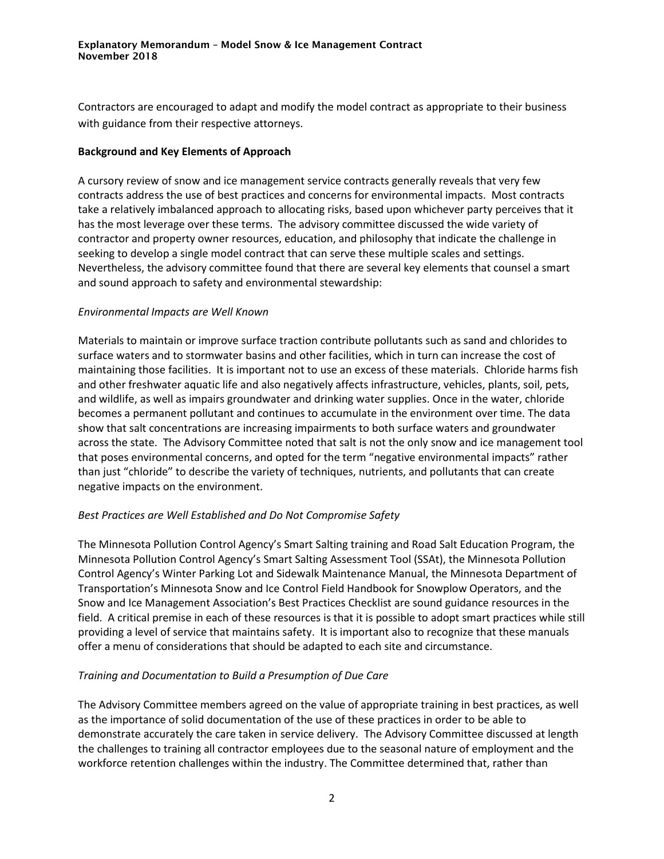Contractors are encouraged to adapt and modify the model contract as appropriate to their business with guidance from their respective attorneys.

### **Background and Key Elements of Approach**

A cursory review of snow and ice management service contracts generally reveals that very few contracts address the use of best practices and concerns for environmental impacts. Most contracts take a relatively imbalanced approach to allocating risks, based upon whichever party perceives that it has the most leverage over these terms. The advisory committee discussed the wide variety of contractor and property owner resources, education, and philosophy that indicate the challenge in seeking to develop a single model contract that can serve these multiple scales and settings. Nevertheless, the advisory committee found that there are several key elements that counsel a smart and sound approach to safety and environmental stewardship:

### *Environmental Impacts are Well Known*

Materials to maintain or improve surface traction contribute pollutants such as sand and chlorides to surface waters and to stormwater basins and other facilities, which in turn can increase the cost of maintaining those facilities. It is important not to use an excess of these materials. Chloride harms fish and other freshwater aquatic life and also negatively affects infrastructure, vehicles, plants, soil, pets, and wildlife, as well as impairs groundwater and drinking water supplies. Once in the water, chloride becomes a permanent pollutant and continues to accumulate in the environment over time. The data show that salt concentrations are increasing impairments to both surface waters and groundwater across the state. The Advisory Committee noted that salt is not the only snow and ice management tool that poses environmental concerns, and opted for the term "negative environmental impacts" rather than just "chloride" to describe the variety of techniques, nutrients, and pollutants that can create negative impacts on the environment.

# *Best Practices are Well Established and Do Not Compromise Safety*

The Minnesota Pollution Control Agency's Smart Salting training and Road Salt Education Program, the Minnesota Pollution Control Agency's Smart Salting Assessment Tool (SSAt), the Minnesota Pollution Control Agency's Winter Parking Lot and Sidewalk Maintenance Manual, the Minnesota Department of Transportation's Minnesota Snow and Ice Control Field Handbook for Snowplow Operators, and the Snow and Ice Management Association's Best Practices Checklist are sound guidance resources in the field. A critical premise in each of these resources is that it is possible to adopt smart practices while still providing a level of service that maintains safety. It is important also to recognize that these manuals offer a menu of considerations that should be adapted to each site and circumstance.

# *Training and Documentation to Build a Presumption of Due Care*

The Advisory Committee members agreed on the value of appropriate training in best practices, as well as the importance of solid documentation of the use of these practices in order to be able to demonstrate accurately the care taken in service delivery. The Advisory Committee discussed at length the challenges to training all contractor employees due to the seasonal nature of employment and the workforce retention challenges within the industry. The Committee determined that, rather than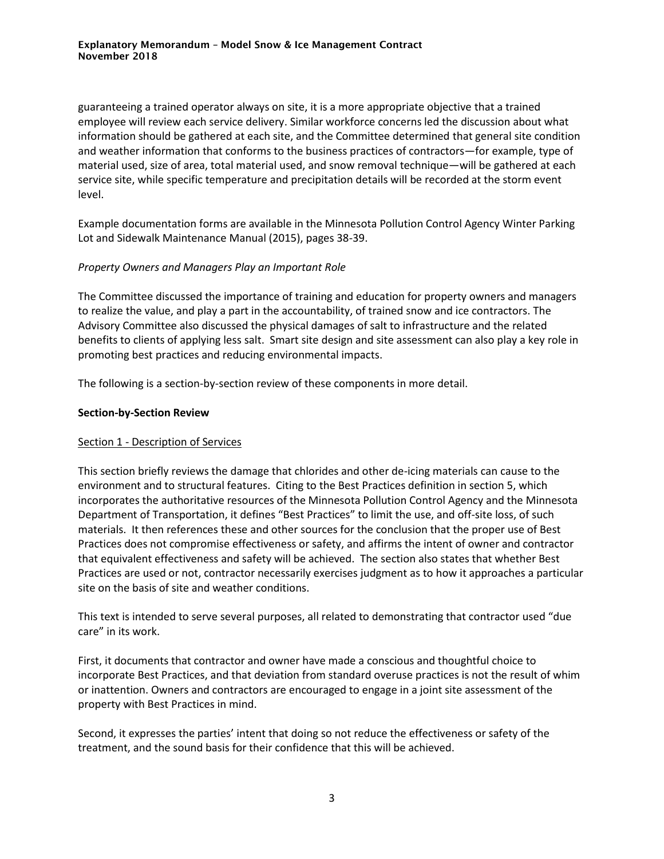guaranteeing a trained operator always on site, it is a more appropriate objective that a trained employee will review each service delivery. Similar workforce concerns led the discussion about what information should be gathered at each site, and the Committee determined that general site condition and weather information that conforms to the business practices of contractors—for example, type of material used, size of area, total material used, and snow removal technique—will be gathered at each service site, while specific temperature and precipitation details will be recorded at the storm event level.

Example documentation forms are available in the Minnesota Pollution Control Agency Winter Parking Lot and Sidewalk Maintenance Manual (2015), pages 38-39.

### *Property Owners and Managers Play an Important Role*

The Committee discussed the importance of training and education for property owners and managers to realize the value, and play a part in the accountability, of trained snow and ice contractors. The Advisory Committee also discussed the physical damages of salt to infrastructure and the related benefits to clients of applying less salt. Smart site design and site assessment can also play a key role in promoting best practices and reducing environmental impacts.

The following is a section-by-section review of these components in more detail.

#### **Section-by-Section Review**

#### Section 1 - Description of Services

This section briefly reviews the damage that chlorides and other de-icing materials can cause to the environment and to structural features. Citing to the Best Practices definition in section 5, which incorporates the authoritative resources of the Minnesota Pollution Control Agency and the Minnesota Department of Transportation, it defines "Best Practices" to limit the use, and off-site loss, of such materials. It then references these and other sources for the conclusion that the proper use of Best Practices does not compromise effectiveness or safety, and affirms the intent of owner and contractor that equivalent effectiveness and safety will be achieved. The section also states that whether Best Practices are used or not, contractor necessarily exercises judgment as to how it approaches a particular site on the basis of site and weather conditions.

This text is intended to serve several purposes, all related to demonstrating that contractor used "due care" in its work.

First, it documents that contractor and owner have made a conscious and thoughtful choice to incorporate Best Practices, and that deviation from standard overuse practices is not the result of whim or inattention. Owners and contractors are encouraged to engage in a joint site assessment of the property with Best Practices in mind.

Second, it expresses the parties' intent that doing so not reduce the effectiveness or safety of the treatment, and the sound basis for their confidence that this will be achieved.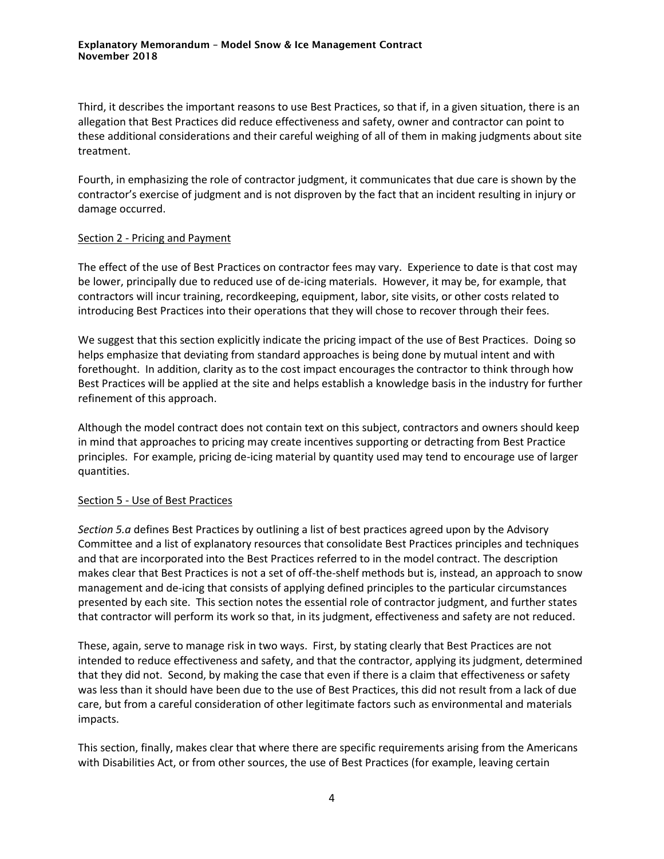Third, it describes the important reasons to use Best Practices, so that if, in a given situation, there is an allegation that Best Practices did reduce effectiveness and safety, owner and contractor can point to these additional considerations and their careful weighing of all of them in making judgments about site treatment.

Fourth, in emphasizing the role of contractor judgment, it communicates that due care is shown by the contractor's exercise of judgment and is not disproven by the fact that an incident resulting in injury or damage occurred.

#### Section 2 - Pricing and Payment

The effect of the use of Best Practices on contractor fees may vary. Experience to date is that cost may be lower, principally due to reduced use of de-icing materials. However, it may be, for example, that contractors will incur training, recordkeeping, equipment, labor, site visits, or other costs related to introducing Best Practices into their operations that they will chose to recover through their fees.

We suggest that this section explicitly indicate the pricing impact of the use of Best Practices. Doing so helps emphasize that deviating from standard approaches is being done by mutual intent and with forethought. In addition, clarity as to the cost impact encourages the contractor to think through how Best Practices will be applied at the site and helps establish a knowledge basis in the industry for further refinement of this approach.

Although the model contract does not contain text on this subject, contractors and owners should keep in mind that approaches to pricing may create incentives supporting or detracting from Best Practice principles. For example, pricing de-icing material by quantity used may tend to encourage use of larger quantities.

# Section 5 - Use of Best Practices

*Section 5.a* defines Best Practices by outlining a list of best practices agreed upon by the Advisory Committee and a list of explanatory resources that consolidate Best Practices principles and techniques and that are incorporated into the Best Practices referred to in the model contract. The description makes clear that Best Practices is not a set of off-the-shelf methods but is, instead, an approach to snow management and de-icing that consists of applying defined principles to the particular circumstances presented by each site. This section notes the essential role of contractor judgment, and further states that contractor will perform its work so that, in its judgment, effectiveness and safety are not reduced.

These, again, serve to manage risk in two ways. First, by stating clearly that Best Practices are not intended to reduce effectiveness and safety, and that the contractor, applying its judgment, determined that they did not. Second, by making the case that even if there is a claim that effectiveness or safety was less than it should have been due to the use of Best Practices, this did not result from a lack of due care, but from a careful consideration of other legitimate factors such as environmental and materials impacts.

This section, finally, makes clear that where there are specific requirements arising from the Americans with Disabilities Act, or from other sources, the use of Best Practices (for example, leaving certain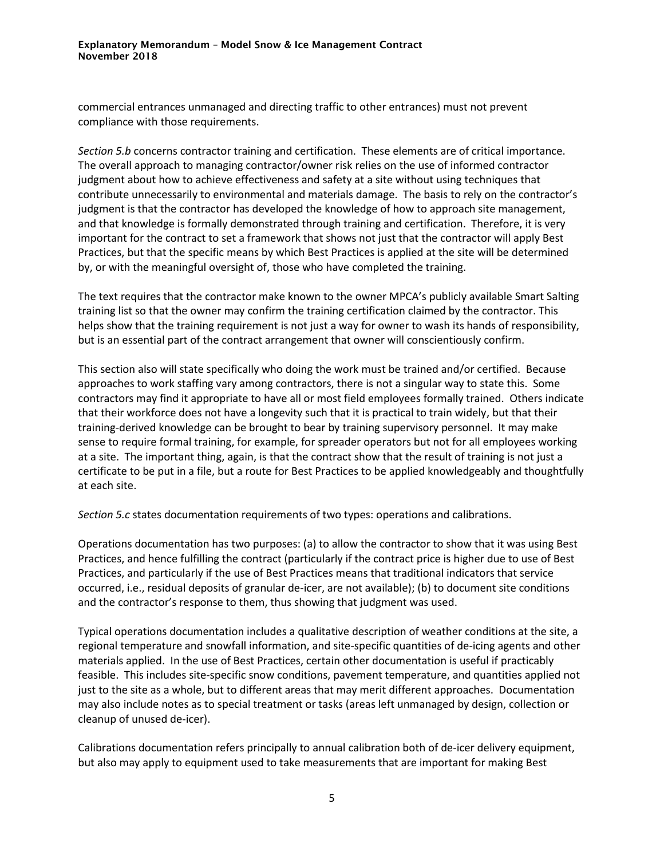commercial entrances unmanaged and directing traffic to other entrances) must not prevent compliance with those requirements.

*Section 5.b* concerns contractor training and certification. These elements are of critical importance. The overall approach to managing contractor/owner risk relies on the use of informed contractor judgment about how to achieve effectiveness and safety at a site without using techniques that contribute unnecessarily to environmental and materials damage. The basis to rely on the contractor's judgment is that the contractor has developed the knowledge of how to approach site management, and that knowledge is formally demonstrated through training and certification. Therefore, it is very important for the contract to set a framework that shows not just that the contractor will apply Best Practices, but that the specific means by which Best Practices is applied at the site will be determined by, or with the meaningful oversight of, those who have completed the training.

The text requires that the contractor make known to the owner MPCA's publicly available Smart Salting training list so that the owner may confirm the training certification claimed by the contractor. This helps show that the training requirement is not just a way for owner to wash its hands of responsibility, but is an essential part of the contract arrangement that owner will conscientiously confirm.

This section also will state specifically who doing the work must be trained and/or certified. Because approaches to work staffing vary among contractors, there is not a singular way to state this. Some contractors may find it appropriate to have all or most field employees formally trained. Others indicate that their workforce does not have a longevity such that it is practical to train widely, but that their training-derived knowledge can be brought to bear by training supervisory personnel. It may make sense to require formal training, for example, for spreader operators but not for all employees working at a site. The important thing, again, is that the contract show that the result of training is not just a certificate to be put in a file, but a route for Best Practices to be applied knowledgeably and thoughtfully at each site.

*Section 5.c* states documentation requirements of two types: operations and calibrations.

Operations documentation has two purposes: (a) to allow the contractor to show that it was using Best Practices, and hence fulfilling the contract (particularly if the contract price is higher due to use of Best Practices, and particularly if the use of Best Practices means that traditional indicators that service occurred, i.e., residual deposits of granular de-icer, are not available); (b) to document site conditions and the contractor's response to them, thus showing that judgment was used.

Typical operations documentation includes a qualitative description of weather conditions at the site, a regional temperature and snowfall information, and site-specific quantities of de-icing agents and other materials applied. In the use of Best Practices, certain other documentation is useful if practicably feasible. This includes site-specific snow conditions, pavement temperature, and quantities applied not just to the site as a whole, but to different areas that may merit different approaches. Documentation may also include notes as to special treatment or tasks (areas left unmanaged by design, collection or cleanup of unused de-icer).

Calibrations documentation refers principally to annual calibration both of de-icer delivery equipment, but also may apply to equipment used to take measurements that are important for making Best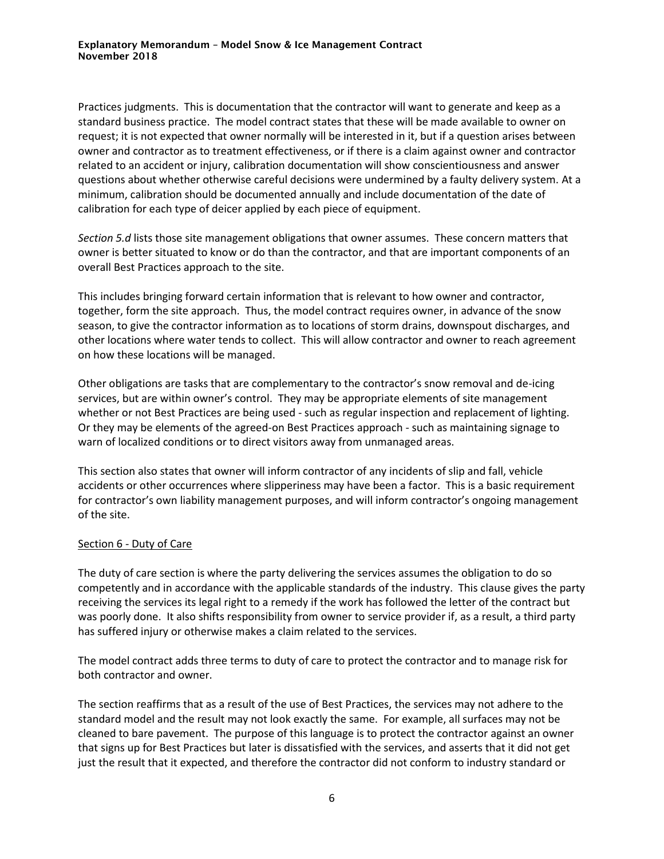Practices judgments. This is documentation that the contractor will want to generate and keep as a standard business practice. The model contract states that these will be made available to owner on request; it is not expected that owner normally will be interested in it, but if a question arises between owner and contractor as to treatment effectiveness, or if there is a claim against owner and contractor related to an accident or injury, calibration documentation will show conscientiousness and answer questions about whether otherwise careful decisions were undermined by a faulty delivery system. At a minimum, calibration should be documented annually and include documentation of the date of calibration for each type of deicer applied by each piece of equipment.

*Section 5.d* lists those site management obligations that owner assumes. These concern matters that owner is better situated to know or do than the contractor, and that are important components of an overall Best Practices approach to the site.

This includes bringing forward certain information that is relevant to how owner and contractor, together, form the site approach. Thus, the model contract requires owner, in advance of the snow season, to give the contractor information as to locations of storm drains, downspout discharges, and other locations where water tends to collect. This will allow contractor and owner to reach agreement on how these locations will be managed.

Other obligations are tasks that are complementary to the contractor's snow removal and de-icing services, but are within owner's control. They may be appropriate elements of site management whether or not Best Practices are being used - such as regular inspection and replacement of lighting. Or they may be elements of the agreed-on Best Practices approach - such as maintaining signage to warn of localized conditions or to direct visitors away from unmanaged areas.

This section also states that owner will inform contractor of any incidents of slip and fall, vehicle accidents or other occurrences where slipperiness may have been a factor. This is a basic requirement for contractor's own liability management purposes, and will inform contractor's ongoing management of the site.

#### Section 6 - Duty of Care

The duty of care section is where the party delivering the services assumes the obligation to do so competently and in accordance with the applicable standards of the industry. This clause gives the party receiving the services its legal right to a remedy if the work has followed the letter of the contract but was poorly done. It also shifts responsibility from owner to service provider if, as a result, a third party has suffered injury or otherwise makes a claim related to the services.

The model contract adds three terms to duty of care to protect the contractor and to manage risk for both contractor and owner.

The section reaffirms that as a result of the use of Best Practices, the services may not adhere to the standard model and the result may not look exactly the same. For example, all surfaces may not be cleaned to bare pavement. The purpose of this language is to protect the contractor against an owner that signs up for Best Practices but later is dissatisfied with the services, and asserts that it did not get just the result that it expected, and therefore the contractor did not conform to industry standard or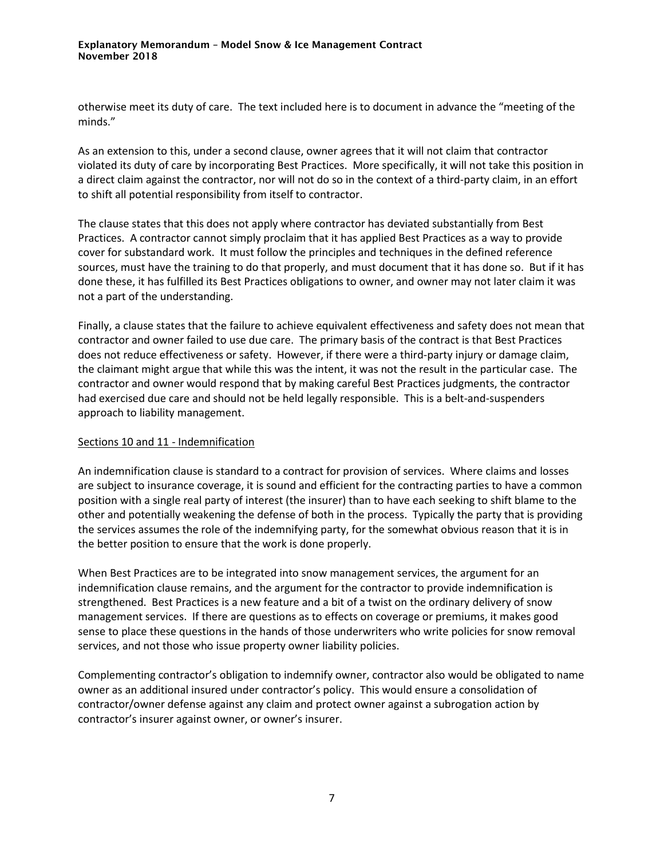otherwise meet its duty of care. The text included here is to document in advance the "meeting of the minds."

As an extension to this, under a second clause, owner agrees that it will not claim that contractor violated its duty of care by incorporating Best Practices. More specifically, it will not take this position in a direct claim against the contractor, nor will not do so in the context of a third-party claim, in an effort to shift all potential responsibility from itself to contractor.

The clause states that this does not apply where contractor has deviated substantially from Best Practices. A contractor cannot simply proclaim that it has applied Best Practices as a way to provide cover for substandard work. It must follow the principles and techniques in the defined reference sources, must have the training to do that properly, and must document that it has done so. But if it has done these, it has fulfilled its Best Practices obligations to owner, and owner may not later claim it was not a part of the understanding.

Finally, a clause states that the failure to achieve equivalent effectiveness and safety does not mean that contractor and owner failed to use due care. The primary basis of the contract is that Best Practices does not reduce effectiveness or safety. However, if there were a third-party injury or damage claim, the claimant might argue that while this was the intent, it was not the result in the particular case. The contractor and owner would respond that by making careful Best Practices judgments, the contractor had exercised due care and should not be held legally responsible. This is a belt-and-suspenders approach to liability management.

# Sections 10 and 11 - Indemnification

An indemnification clause is standard to a contract for provision of services. Where claims and losses are subject to insurance coverage, it is sound and efficient for the contracting parties to have a common position with a single real party of interest (the insurer) than to have each seeking to shift blame to the other and potentially weakening the defense of both in the process. Typically the party that is providing the services assumes the role of the indemnifying party, for the somewhat obvious reason that it is in the better position to ensure that the work is done properly.

When Best Practices are to be integrated into snow management services, the argument for an indemnification clause remains, and the argument for the contractor to provide indemnification is strengthened. Best Practices is a new feature and a bit of a twist on the ordinary delivery of snow management services. If there are questions as to effects on coverage or premiums, it makes good sense to place these questions in the hands of those underwriters who write policies for snow removal services, and not those who issue property owner liability policies.

Complementing contractor's obligation to indemnify owner, contractor also would be obligated to name owner as an additional insured under contractor's policy. This would ensure a consolidation of contractor/owner defense against any claim and protect owner against a subrogation action by contractor's insurer against owner, or owner's insurer.